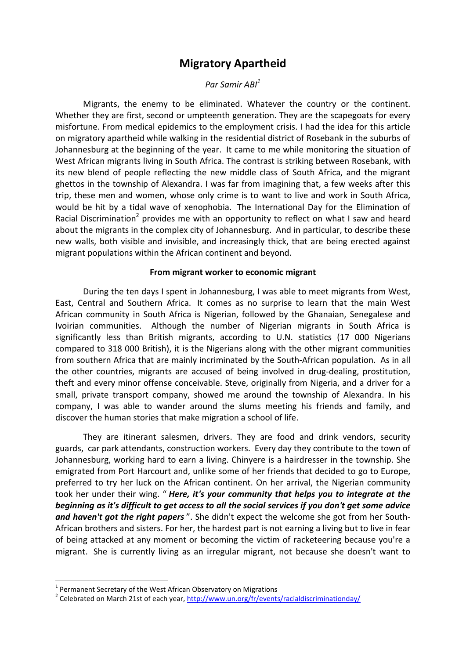# Migratory Apartheid

### Par Samir ABI<sup>1</sup>

Migrants, the enemy to be eliminated. Whatever the country or the continent. Whether they are first, second or umpteenth generation. They are the scapegoats for every misfortune. From medical epidemics to the employment crisis. I had the idea for this article on migratory apartheid while walking in the residential district of Rosebank in the suburbs of Johannesburg at the beginning of the year. It came to me while monitoring the situation of West African migrants living in South Africa. The contrast is striking between Rosebank, with its new blend of people reflecting the new middle class of South Africa, and the migrant ghettos in the township of Alexandra. I was far from imagining that, a few weeks after this trip, these men and women, whose only crime is to want to live and work in South Africa, would be hit by a tidal wave of xenophobia. The International Day for the Elimination of Racial Discrimination<sup>2</sup> provides me with an opportunity to reflect on what I saw and heard about the migrants in the complex city of Johannesburg. And in particular, to describe these new walls, both visible and invisible, and increasingly thick, that are being erected against migrant populations within the African continent and beyond.

#### From migrant worker to economic migrant

During the ten days I spent in Johannesburg, I was able to meet migrants from West, East, Central and Southern Africa. It comes as no surprise to learn that the main West African community in South Africa is Nigerian, followed by the Ghanaian, Senegalese and Ivoirian communities. Although the number of Nigerian migrants in South Africa is significantly less than British migrants, according to U.N. statistics (17 000 Nigerians compared to 318 000 British), it is the Nigerians along with the other migrant communities from southern Africa that are mainly incriminated by the South-African population. As in all the other countries, migrants are accused of being involved in drug-dealing, prostitution, theft and every minor offense conceivable. Steve, originally from Nigeria, and a driver for a small, private transport company, showed me around the township of Alexandra. In his company, I was able to wander around the slums meeting his friends and family, and discover the human stories that make migration a school of life.

They are itinerant salesmen, drivers. They are food and drink vendors, security guards, car park attendants, construction workers. Every day they contribute to the town of Johannesburg, working hard to earn a living. Chinyere is a hairdresser in the township. She emigrated from Port Harcourt and, unlike some of her friends that decided to go to Europe, preferred to try her luck on the African continent. On her arrival, the Nigerian community took her under their wing. "Here, it's your community that helps you to integrate at the beginning as it's difficult to get access to all the social services if you don't get some advice and haven't got the right papers". She didn't expect the welcome she got from her South-African brothers and sisters. For her, the hardest part is not earning a living but to live in fear of being attacked at any moment or becoming the victim of racketeering because you're a migrant. She is currently living as an irregular migrant, not because she doesn't want to

 $1$  Permanent Secretary of the West African Observatory on Migrations

<sup>&</sup>lt;sup>2</sup> Celebrated on March 21st of each year, http://www.un.org/fr/events/racialdiscriminationday/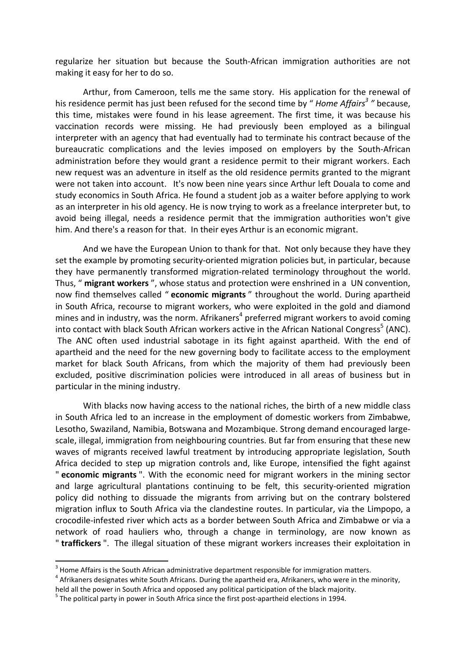regularize her situation but because the South-African immigration authorities are not making it easy for her to do so.

Arthur, from Cameroon, tells me the same story. His application for the renewal of his residence permit has just been refused for the second time by " Home Affairs<sup>3</sup> " because, this time, mistakes were found in his lease agreement. The first time, it was because his vaccination records were missing. He had previously been employed as a bilingual interpreter with an agency that had eventually had to terminate his contract because of the bureaucratic complications and the levies imposed on employers by the South-African administration before they would grant a residence permit to their migrant workers. Each new request was an adventure in itself as the old residence permits granted to the migrant were not taken into account. It's now been nine years since Arthur left Douala to come and study economics in South Africa. He found a student job as a waiter before applying to work as an interpreter in his old agency. He is now trying to work as a freelance interpreter but, to avoid being illegal, needs a residence permit that the immigration authorities won't give him. And there's a reason for that. In their eyes Arthur is an economic migrant.

And we have the European Union to thank for that. Not only because they have they set the example by promoting security-oriented migration policies but, in particular, because they have permanently transformed migration-related terminology throughout the world. Thus, " migrant workers", whose status and protection were enshrined in a UN convention, now find themselves called " economic migrants" throughout the world. During apartheid in South Africa, recourse to migrant workers, who were exploited in the gold and diamond mines and in industry, was the norm. Afrikaners<sup>4</sup> preferred migrant workers to avoid coming into contact with black South African workers active in the African National Congress<sup>5</sup> (ANC). The ANC often used industrial sabotage in its fight against apartheid. With the end of apartheid and the need for the new governing body to facilitate access to the employment market for black South Africans, from which the majority of them had previously been excluded, positive discrimination policies were introduced in all areas of business but in particular in the mining industry.

With blacks now having access to the national riches, the birth of a new middle class in South Africa led to an increase in the employment of domestic workers from Zimbabwe, Lesotho, Swaziland, Namibia, Botswana and Mozambique. Strong demand encouraged largescale, illegal, immigration from neighbouring countries. But far from ensuring that these new waves of migrants received lawful treatment by introducing appropriate legislation, South Africa decided to step up migration controls and, like Europe, intensified the fight against " economic migrants ". With the economic need for migrant workers in the mining sector and large agricultural plantations continuing to be felt, this security-oriented migration policy did nothing to dissuade the migrants from arriving but on the contrary bolstered migration influx to South Africa via the clandestine routes. In particular, via the Limpopo, a crocodile-infested river which acts as a border between South Africa and Zimbabwe or via a network of road hauliers who, through a change in terminology, are now known as " traffickers ". The illegal situation of these migrant workers increases their exploitation in

-

 $3$  Home Affairs is the South African administrative department responsible for immigration matters.

 $<sup>4</sup>$  Afrikaners designates white South Africans. During the apartheid era, Afrikaners, who were in the minority,</sup>

held all the power in South Africa and opposed any political participation of the black majority.

 $<sup>5</sup>$  The political party in power in South Africa since the first post-apartheid elections in 1994.</sup>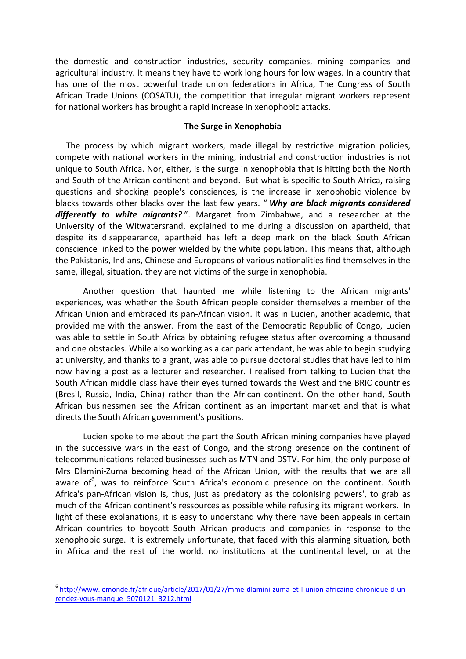the domestic and construction industries, security companies, mining companies and agricultural industry. It means they have to work long hours for low wages. In a country that has one of the most powerful trade union federations in Africa, The Congress of South African Trade Unions (COSATU), the competition that irregular migrant workers represent for national workers has brought a rapid increase in xenophobic attacks.

#### The Surge in Xenophobia

 The process by which migrant workers, made illegal by restrictive migration policies, compete with national workers in the mining, industrial and construction industries is not unique to South Africa. Nor, either, is the surge in xenophobia that is hitting both the North and South of the African continent and beyond. But what is specific to South Africa, raising questions and shocking people's consciences, is the increase in xenophobic violence by blacks towards other blacks over the last few years. " Why are black migrants considered differently to white migrants?". Margaret from Zimbabwe, and a researcher at the University of the Witwatersrand, explained to me during a discussion on apartheid, that despite its disappearance, apartheid has left a deep mark on the black South African conscience linked to the power wielded by the white population. This means that, although the Pakistanis, Indians, Chinese and Europeans of various nationalities find themselves in the same, illegal, situation, they are not victims of the surge in xenophobia.

Another question that haunted me while listening to the African migrants' experiences, was whether the South African people consider themselves a member of the African Union and embraced its pan-African vision. It was in Lucien, another academic, that provided me with the answer. From the east of the Democratic Republic of Congo, Lucien was able to settle in South Africa by obtaining refugee status after overcoming a thousand and one obstacles. While also working as a car park attendant, he was able to begin studying at university, and thanks to a grant, was able to pursue doctoral studies that have led to him now having a post as a lecturer and researcher. I realised from talking to Lucien that the South African middle class have their eyes turned towards the West and the BRIC countries (Bresil, Russia, India, China) rather than the African continent. On the other hand, South African businessmen see the African continent as an important market and that is what directs the South African government's positions.

Lucien spoke to me about the part the South African mining companies have played in the successive wars in the east of Congo, and the strong presence on the continent of telecommunications-related businesses such as MTN and DSTV. For him, the only purpose of Mrs Dlamini-Zuma becoming head of the African Union, with the results that we are all aware of<sup>6</sup>, was to reinforce South Africa's economic presence on the continent. South Africa's pan-African vision is, thus, just as predatory as the colonising powers', to grab as much of the African continent's ressources as possible while refusing its migrant workers. In light of these explanations, it is easy to understand why there have been appeals in certain African countries to boycott South African products and companies in response to the xenophobic surge. It is extremely unfortunate, that faced with this alarming situation, both in Africa and the rest of the world, no institutions at the continental level, or at the

<sup>6</sup> http://www.lemonde.fr/afrique/article/2017/01/27/mme-dlamini-zuma-et-l-union-africaine-chronique-d-unrendez-vous-manque\_5070121\_3212.html